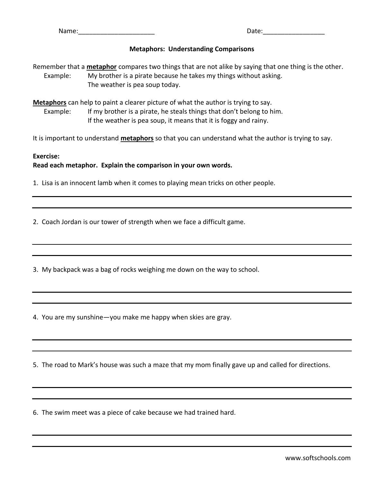Name: 2008. 2010. 2010. 2010. 2011. 2012. 2014. 2016. 2017. 2018. 2019. 2016. 2017. 2018. 2019. 2017. 2017. 20

## **Metaphors: Understanding Comparisons**

Remember that a **metaphor** compares two things that are not alike by saying that one thing is the other. Example: My brother is a pirate because he takes my things without asking. The weather is pea soup today.

**Metaphors** can help to paint a clearer picture of what the author is trying to say. Example: If my brother is a pirate, he steals things that don't belong to him. If the weather is pea soup, it means that it is foggy and rainy.

It is important to understand **metaphors** so that you can understand what the author is trying to say.

## **Exercise: Read each metaphor. Explain the comparison in your own words.**

1. Lisa is an innocent lamb when it comes to playing mean tricks on other people.

2. Coach Jordan is our tower of strength when we face a difficult game.

3. My backpack was a bag of rocks weighing me down on the way to school.

4. You are my sunshine—you make me happy when skies are gray.

5. The road to Mark's house was such a maze that my mom finally gave up and called for directions.

6. The swim meet was a piece of cake because we had trained hard.